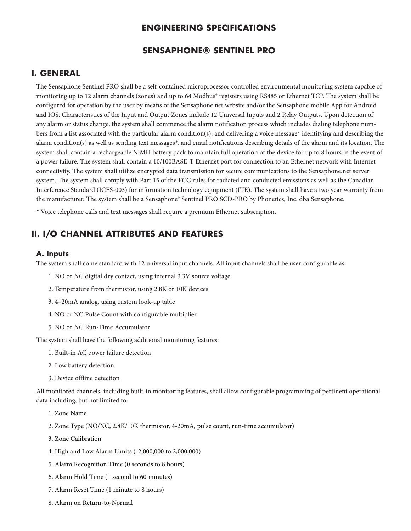## **ENGINEERING SPECIFICATIONS**

### **SENSAPHONE® SENTINEL PRO**

### **I. GENERAL**

The Sensaphone Sentinel PRO shall be a self-contained microprocessor controlled environmental monitoring system capable of monitoring up to 12 alarm channels (zones) and up to 64 Modbus® registers using RS485 or Ethernet TCP. The system shall be configured for operation by the user by means of the Sensaphone.net website and/or the Sensaphone mobile App for Android and IOS. Characteristics of the Input and Output Zones include 12 Universal Inputs and 2 Relay Outputs. Upon detection of any alarm or status change, the system shall commence the alarm notification process which includes dialing telephone numbers from a list associated with the particular alarm condition(s), and delivering a voice message\* identifying and describing the alarm condition(s) as well as sending text messages\*, and email notifications describing details of the alarm and its location. The system shall contain a rechargeable NiMH battery pack to maintain full operation of the device for up to 8 hours in the event of a power failure. The system shall contain a 10/100BASE-T Ethernet port for connection to an Ethernet network with Internet connectivity. The system shall utilize encrypted data transmission for secure communications to the Sensaphone.net server system. The system shall comply with Part 15 of the FCC rules for radiated and conducted emissions as well as the Canadian Interference Standard (ICES-003) for information technology equipment (ITE). The system shall have a two year warranty from the manufacturer. The system shall be a Sensaphone® Sentinel PRO SCD-PRO by Phonetics, Inc. dba Sensaphone.

\* Voice telephone calls and text messages shall require a premium Ethernet subscription.

# **II. I/O CHANNEL ATTRIBUTES AND FEATURES**

#### **A. Inputs**

The system shall come standard with 12 universal input channels. All input channels shall be user-configurable as:

- 1. NO or NC digital dry contact, using internal 3.3V source voltage
- 2. Temperature from thermistor, using 2.8K or 10K devices
- 3. 4–20mA analog, using custom look-up table
- 4. NO or NC Pulse Count with configurable multiplier
- 5. NO or NC Run-Time Accumulator

The system shall have the following additional monitoring features:

- 1. Built-in AC power failure detection
- 2. Low battery detection
- 3. Device offline detection

All monitored channels, including built-in monitoring features, shall allow configurable programming of pertinent operational data including, but not limited to:

- 1. Zone Name
- 2. Zone Type (NO/NC, 2.8K/10K thermistor, 4-20mA, pulse count, run-time accumulator)
- 3. Zone Calibration
- 4. High and Low Alarm Limits (-2,000,000 to 2,000,000)
- 5. Alarm Recognition Time (0 seconds to 8 hours)
- 6. Alarm Hold Time (1 second to 60 minutes)
- 7. Alarm Reset Time (1 minute to 8 hours)
- 8. Alarm on Return-to-Normal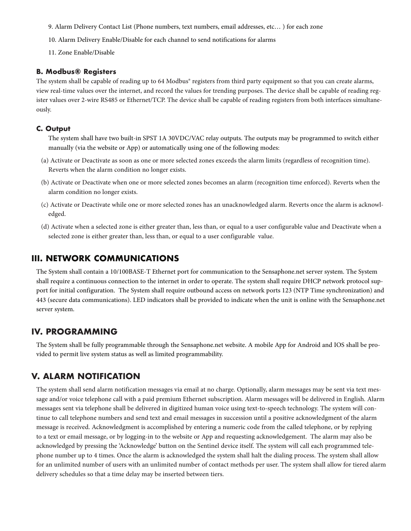- 9. Alarm Delivery Contact List (Phone numbers, text numbers, email addresses, etc… ) for each zone
- 10. Alarm Delivery Enable/Disable for each channel to send notifications for alarms
- 11. Zone Enable/Disable

#### **B. Modbus® Registers**

The system shall be capable of reading up to 64 Modbus® registers from third party equipment so that you can create alarms, view real-time values over the internet, and record the values for trending purposes. The device shall be capable of reading register values over 2-wire RS485 or Ethernet/TCP. The device shall be capable of reading registers from both interfaces simultaneously.

#### **C. Output**

The system shall have two built-in SPST 1A 30VDC/VAC relay outputs. The outputs may be programmed to switch either manually (via the website or App) or automatically using one of the following modes:

- (a) Activate or Deactivate as soon as one or more selected zones exceeds the alarm limits (regardless of recognition time). Reverts when the alarm condition no longer exists.
- (b) Activate or Deactivate when one or more selected zones becomes an alarm (recognition time enforced). Reverts when the alarm condition no longer exists.
- (c) Activate or Deactivate while one or more selected zones has an unacknowledged alarm. Reverts once the alarm is acknowledged.
- (d) Activate when a selected zone is either greater than, less than, or equal to a user configurable value and Deactivate when a selected zone is either greater than, less than, or equal to a user configurable value.

## **III. NETWORK COMMUNICATIONS**

The System shall contain a 10/100BASE-T Ethernet port for communication to the Sensaphone.net server system. The System shall require a continuous connection to the internet in order to operate. The system shall require DHCP network protocol support for initial configuration. The System shall require outbound access on network ports 123 (NTP Time synchronization) and 443 (secure data communications). LED indicators shall be provided to indicate when the unit is online with the Sensaphone.net server system.

## **IV. PROGRAMMING**

The System shall be fully programmable through the Sensaphone.net website. A mobile App for Android and IOS shall be provided to permit live system status as well as limited programmability.

# **V. ALARM NOTIFICATION**

The system shall send alarm notification messages via email at no charge. Optionally, alarm messages may be sent via text message and/or voice telephone call with a paid premium Ethernet subscription. Alarm messages will be delivered in English. Alarm messages sent via telephone shall be delivered in digitized human voice using text-to-speech technology. The system will continue to call telephone numbers and send text and email messages in succession until a positive acknowledgment of the alarm message is received. Acknowledgment is accomplished by entering a numeric code from the called telephone, or by replying to a text or email message, or by logging-in to the website or App and requesting acknowledgement. The alarm may also be acknowledged by pressing the 'Acknowledge' button on the Sentinel device itself. The system will call each programmed telephone number up to 4 times. Once the alarm is acknowledged the system shall halt the dialing process. The system shall allow for an unlimited number of users with an unlimited number of contact methods per user. The system shall allow for tiered alarm delivery schedules so that a time delay may be inserted between tiers.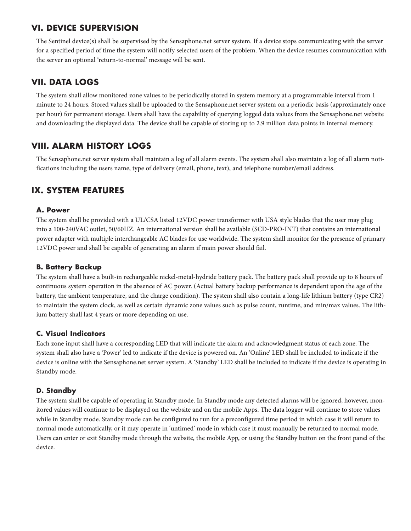# **VI. DEVICE SUPERVISION**

The Sentinel device(s) shall be supervised by the Sensaphone.net server system. If a device stops communicating with the server for a specified period of time the system will notify selected users of the problem. When the device resumes communication with the server an optional 'return-to-normal' message will be sent.

# **VII. DATA LOGS**

The system shall allow monitored zone values to be periodically stored in system memory at a programmable interval from 1 minute to 24 hours. Stored values shall be uploaded to the Sensaphone.net server system on a periodic basis (approximately once per hour) for permanent storage. Users shall have the capability of querying logged data values from the Sensaphone.net website and downloading the displayed data. The device shall be capable of storing up to 2.9 million data points in internal memory.

# **VIII. ALARM HISTORY LOGS**

The Sensaphone.net server system shall maintain a log of all alarm events. The system shall also maintain a log of all alarm notifications including the users name, type of delivery (email, phone, text), and telephone number/email address.

# **IX. SYSTEM FEATURES**

### **A. Power**

The system shall be provided with a UL/CSA listed 12VDC power transformer with USA style blades that the user may plug into a 100-240VAC outlet, 50/60HZ. An international version shall be available (SCD-PRO-INT) that contains an international power adapter with multiple interchangeable AC blades for use worldwide. The system shall monitor for the presence of primary 12VDC power and shall be capable of generating an alarm if main power should fail.

## **B. Battery Backup**

The system shall have a built-in rechargeable nickel-metal-hydride battery pack. The battery pack shall provide up to 8 hours of continuous system operation in the absence of AC power. (Actual battery backup performance is dependent upon the age of the battery, the ambient temperature, and the charge condition). The system shall also contain a long-life lithium battery (type CR2) to maintain the system clock, as well as certain dynamic zone values such as pulse count, runtime, and min/max values. The lithium battery shall last 4 years or more depending on use.

## **C. Visual Indicators**

Each zone input shall have a corresponding LED that will indicate the alarm and acknowledgment status of each zone. The system shall also have a 'Power' led to indicate if the device is powered on. An 'Online' LED shall be included to indicate if the device is online with the Sensaphone.net server system. A 'Standby' LED shall be included to indicate if the device is operating in Standby mode.

### **D. Standby**

The system shall be capable of operating in Standby mode. In Standby mode any detected alarms will be ignored, however, monitored values will continue to be displayed on the website and on the mobile Apps. The data logger will continue to store values while in Standby mode. Standby mode can be configured to run for a preconfigured time period in which case it will return to normal mode automatically, or it may operate in 'untimed' mode in which case it must manually be returned to normal mode. Users can enter or exit Standby mode through the website, the mobile App, or using the Standby button on the front panel of the device.